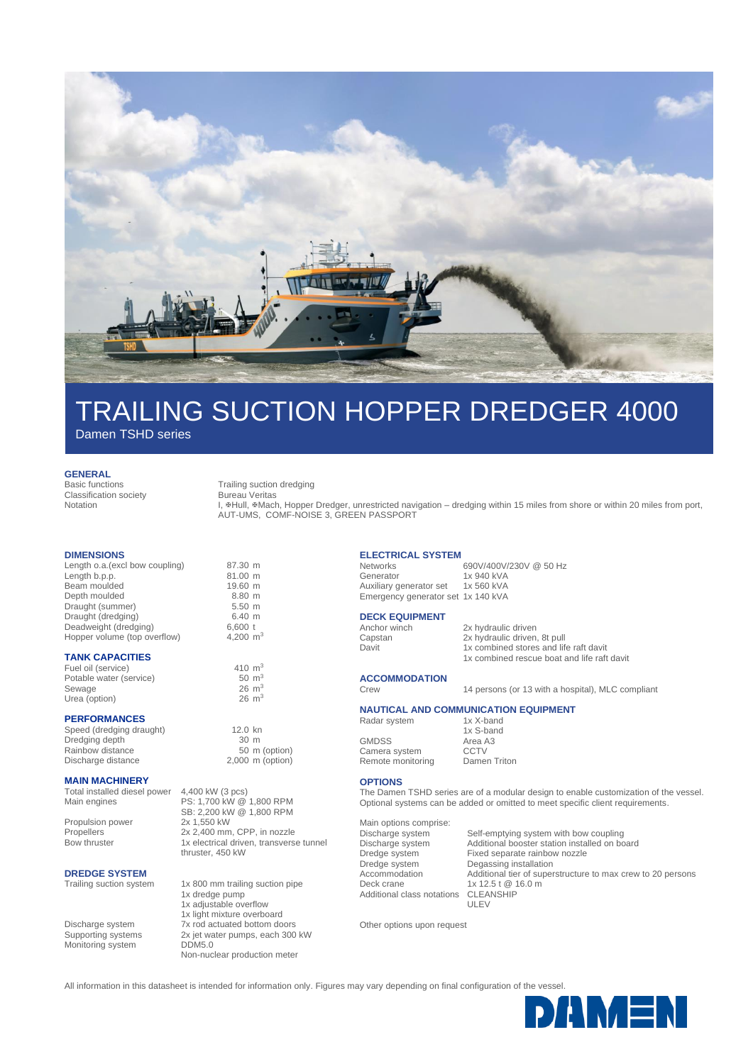

## TRAILING SUCTION HOPPER DREDGER 4000

Damen TSHD series

**GENERAL**

Classification society Notation

Basic functions Trailing suction dredging

Bureau Veritas

L. #Hull, #Mach, Hopper Dredger, unrestricted navigation – dredging within 15 miles from shore or within 20 miles from port, AUT-UMS, COMF-NOISE 3, GREEN PASSPORT

#### **DIMENSIONS**

Length o.a.(excl bow coupling) 87.30 m<br>Length b.p.p. 81.00 m Length b.p.p.<br>Beam moulded begins and the property of the Beam moulded and the Beam moulded state of the Beam moulded state of the Beam moulded state of the Beam moulded state of the Beam moulded state of the Beam moulded Beam moulded 19.60 m<br>
Depth moulded 8.80 m Depth moulded 8.80 m<br>Draught (summer) 5.50 m Draught (summer) 5.50 m<br>Draught (dredging) 6.40 m Draught (dredging) 6.40 m<br>Deadweight (dredging) 6,600 t Deadweight (dredging) Hopper volume (top overflow) 4,200 m<sup>3</sup>

### **TANK CAPACITIES**

Fuel oil (service)  $410 \text{ m}^3$ <br>Potable water (service)  $50 \text{ m}^3$ Potable water (service) 50 m<sup>3</sup><br>Sewage 50 m<sup>3</sup><br>Sewage 26 m<sup>3</sup> Sewage 26 m<sup>3</sup><br>
Urea (option) 26 m<sup>3</sup><br>
26 m<sup>3</sup> Urea (option)

#### **PERFORMANCES**

Speed (dredging draught) 12.0 kn<br>Dredging depth 130 m Dredging depth 30 m<br>Rainbow distance 50 m (option) Rainbow distance Discharge distance 2,000 m (option)

#### **MAIN MACHINERY**

Total installed diesel power 4,400 kW (3 pcs)<br>Main engines PS: 1,700 kW @ Propulsion power

PS: 1,700 kW @ 1,800 RPM SB: 2,200 kW @ 1,800 RPM<br>2x 1,550 kW Propellers 2x 2,400 mm, CPP, in nozzle Bow thruster 1x electrical driven, transverse tunnel

### **DREDGE SYSTEM**<br>Trailing suction system

Monitoring system DDM5.0

thruster, 450 kW 1x 800 mm trailing suction pipe

1x dredge pump 1x adjustable overflow 1x light mixture overboard Discharge system 7x rod actuated bottom doors Supporting systems 2x jet water pumps, each 300 kW Non-nuclear production meter

**ELECTRICAL SYSTEM**

 $N$ etworks 690V/400V/230V @ 50 Hz<br>Generator 1x 940 kVA 1x 940 kVA<br>1x 560 kVA Auxiliary generator set Emergency generator set 1x 140 kVA

# **DECK EQUIPMENT**<br>Anchor winch

Anchor winch 2x hydraulic driven<br>
Capstan 2x hydraulic driven Capstan 2x hydraulic driven, 8t pull<br>
Davit 1x combined stores and life 1x combined stores and life raft davit 1x combined rescue boat and life raft davit

**ACCOMMODATION**

Crew 14 persons (or 13 with a hospital), MLC compliant

### **NAUTICAL AND COMMUNICATION EQUIPMENT**

1x S-band

Radar system 1x X-band

GMDSS Area A3<br>Camera system CCTV Camera system Remote monitoring Damen Triton

### **OPTIONS**

The Damen TSHD series are of a modular design to enable customization of the vessel. Optional systems can be added or omitted to meet specific client requirements.

Main options comprise: Additional class notations

Discharge system Self-emptying system with bow coupling<br>Discharge system Additional booster station installed on bo Discharge system Additional booster station installed on board Fixed separate rainbow nozzle Dredge system Degassing installation Accommodation Additional tier of superstructure to max crew to 20 persons Deck crane 1x 12.5 t @ 16.0 m<br>Additional class notations CLEANSHIP ULEV

Other options upon request

All information in this datasheet is intended for information only. Figures may vary depending on final configuration of the vessel.